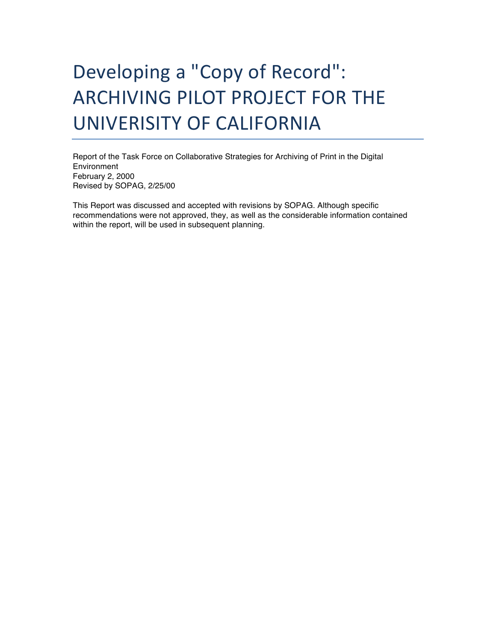# Developing a "Copy of Record": ARCHIVING PILOT PROJECT FOR THE UNIVERISITY OF CALIFORNIA

Report of the Task Force on Collaborative Strategies for Archiving of Print in the Digital Environment February 2, 2000 Revised by SOPAG, 2/25/00

This Report was discussed and accepted with revisions by SOPAG. Although specific recommendations were not approved, they, as well as the considerable information contained within the report, will be used in subsequent planning.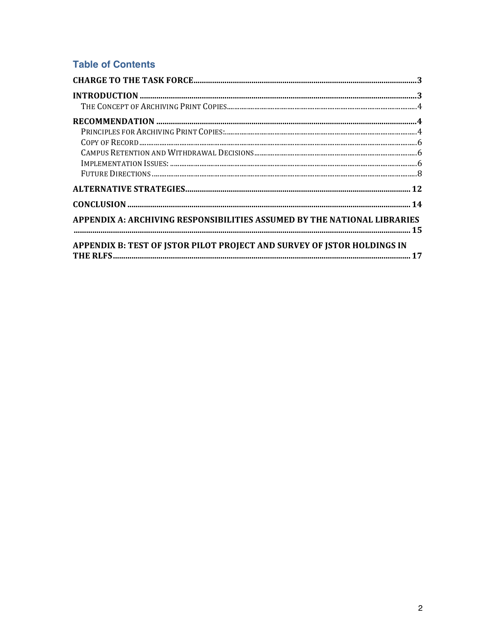# **Table of Contents**

| APPENDIX A: ARCHIVING RESPONSIBILITIES ASSUMED BY THE NATIONAL LIBRARIES |  |
|--------------------------------------------------------------------------|--|
| APPENDIX B: TEST OF JSTOR PILOT PROJECT AND SURVEY OF JSTOR HOLDINGS IN  |  |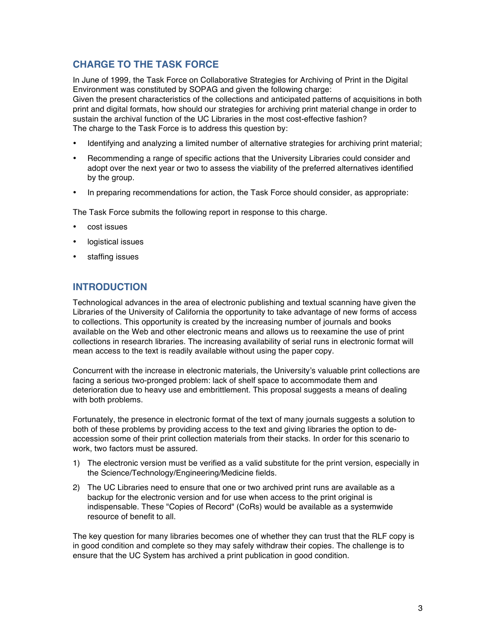# **CHARGE TO THE TASK FORCE**

In June of 1999, the Task Force on Collaborative Strategies for Archiving of Print in the Digital Environment was constituted by SOPAG and given the following charge: Given the present characteristics of the collections and anticipated patterns of acquisitions in both print and digital formats, how should our strategies for archiving print material change in order to sustain the archival function of the UC Libraries in the most cost-effective fashion? The charge to the Task Force is to address this question by:

- Identifying and analyzing a limited number of alternative strategies for archiving print material;
- Recommending a range of specific actions that the University Libraries could consider and adopt over the next year or two to assess the viability of the preferred alternatives identified by the group.
- In preparing recommendations for action, the Task Force should consider, as appropriate:

The Task Force submits the following report in response to this charge.

- cost issues
- logistical issues
- staffing issues

# **INTRODUCTION**

Technological advances in the area of electronic publishing and textual scanning have given the Libraries of the University of California the opportunity to take advantage of new forms of access to collections. This opportunity is created by the increasing number of journals and books available on the Web and other electronic means and allows us to reexamine the use of print collections in research libraries. The increasing availability of serial runs in electronic format will mean access to the text is readily available without using the paper copy.

Concurrent with the increase in electronic materials, the University's valuable print collections are facing a serious two-pronged problem: lack of shelf space to accommodate them and deterioration due to heavy use and embrittlement. This proposal suggests a means of dealing with both problems.

Fortunately, the presence in electronic format of the text of many journals suggests a solution to both of these problems by providing access to the text and giving libraries the option to deaccession some of their print collection materials from their stacks. In order for this scenario to work, two factors must be assured.

- 1) The electronic version must be verified as a valid substitute for the print version, especially in the Science/Technology/Engineering/Medicine fields.
- 2) The UC Libraries need to ensure that one or two archived print runs are available as a backup for the electronic version and for use when access to the print original is indispensable. These "Copies of Record" (CoRs) would be available as a systemwide resource of benefit to all.

The key question for many libraries becomes one of whether they can trust that the RLF copy is in good condition and complete so they may safely withdraw their copies. The challenge is to ensure that the UC System has archived a print publication in good condition.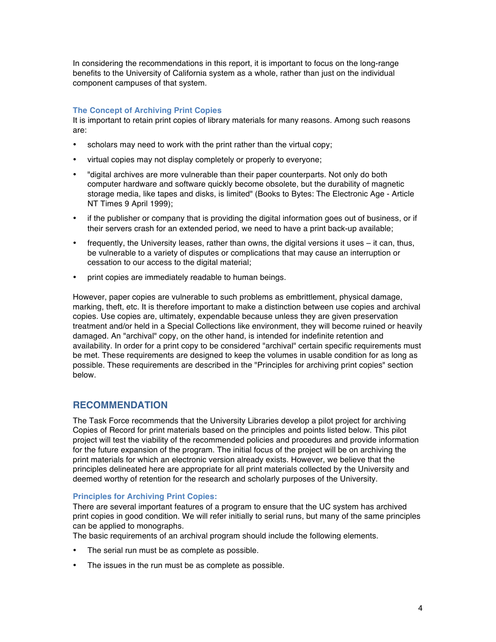In considering the recommendations in this report, it is important to focus on the long-range benefits to the University of California system as a whole, rather than just on the individual component campuses of that system.

# **The Concept of Archiving Print Copies**

It is important to retain print copies of library materials for many reasons. Among such reasons are:

- scholars may need to work with the print rather than the virtual copy;
- virtual copies may not display completely or properly to everyone;
- "digital archives are more vulnerable than their paper counterparts. Not only do both computer hardware and software quickly become obsolete, but the durability of magnetic storage media, like tapes and disks, is limited" (Books to Bytes: The Electronic Age - Article NT Times 9 April 1999);
- if the publisher or company that is providing the digital information goes out of business, or if their servers crash for an extended period, we need to have a print back-up available;
- frequently, the University leases, rather than owns, the digital versions it uses it can, thus, be vulnerable to a variety of disputes or complications that may cause an interruption or cessation to our access to the digital material;
- print copies are immediately readable to human beings.

However, paper copies are vulnerable to such problems as embrittlement, physical damage, marking, theft, etc. It is therefore important to make a distinction between use copies and archival copies. Use copies are, ultimately, expendable because unless they are given preservation treatment and/or held in a Special Collections like environment, they will become ruined or heavily damaged. An "archival" copy, on the other hand, is intended for indefinite retention and availability. In order for a print copy to be considered "archival" certain specific requirements must be met. These requirements are designed to keep the volumes in usable condition for as long as possible. These requirements are described in the "Principles for archiving print copies" section below.

# **RECOMMENDATION**

The Task Force recommends that the University Libraries develop a pilot project for archiving Copies of Record for print materials based on the principles and points listed below. This pilot project will test the viability of the recommended policies and procedures and provide information for the future expansion of the program. The initial focus of the project will be on archiving the print materials for which an electronic version already exists. However, we believe that the principles delineated here are appropriate for all print materials collected by the University and deemed worthy of retention for the research and scholarly purposes of the University.

#### **Principles for Archiving Print Copies:**

There are several important features of a program to ensure that the UC system has archived print copies in good condition. We will refer initially to serial runs, but many of the same principles can be applied to monographs.

The basic requirements of an archival program should include the following elements.

- The serial run must be as complete as possible.
- The issues in the run must be as complete as possible.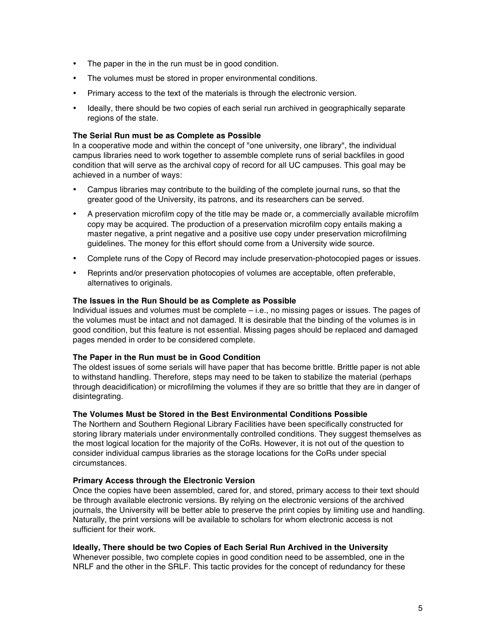- The paper in the in the run must be in good condition.
- The volumes must be stored in proper environmental conditions.
- Primary access to the text of the materials is through the electronic version.
- Ideally, there should be two copies of each serial run archived in geographically separate regions of the state.

#### **The Serial Run must be as Complete as Possible**

In a cooperative mode and within the concept of "one university, one library", the individual campus libraries need to work together to assemble complete runs of serial backfiles in good condition that will serve as the archival copy of record for all UC campuses. This goal may be achieved in a number of ways:

- Campus libraries may contribute to the building of the complete journal runs, so that the greater good of the University, its patrons, and its researchers can be served.
- A preservation microfilm copy of the title may be made or, a commercially available microfilm copy may be acquired. The production of a preservation microfilm copy entails making a master negative, a print negative and a positive use copy under preservation microfilming guidelines. The money for this effort should come from a University wide source.
- Complete runs of the Copy of Record may include preservation-photocopied pages or issues.
- Reprints and/or preservation photocopies of volumes are acceptable, often preferable, alternatives to originals.

## **The Issues in the Run Should be as Complete as Possible**

Individual issues and volumes must be complete – i.e., no missing pages or issues. The pages of the volumes must be intact and not damaged. It is desirable that the binding of the volumes is in good condition, but this feature is not essential. Missing pages should be replaced and damaged pages mended in order to be considered complete.

#### **The Paper in the Run must be in Good Condition**

The oldest issues of some serials will have paper that has become brittle. Brittle paper is not able to withstand handling. Therefore, steps may need to be taken to stabilize the material (perhaps through deacidification) or microfilming the volumes if they are so brittle that they are in danger of disintegrating.

## **The Volumes Must be Stored in the Best Environmental Conditions Possible**

The Northern and Southern Regional Library Facilities have been specifically constructed for storing library materials under environmentally controlled conditions. They suggest themselves as the most logical location for the majority of the CoRs. However, it is not out of the question to consider individual campus libraries as the storage locations for the CoRs under special circumstances.

#### **Primary Access through the Electronic Version**

Once the copies have been assembled, cared for, and stored, primary access to their text should be through available electronic versions. By relying on the electronic versions of the archived journals, the University will be better able to preserve the print copies by limiting use and handling. Naturally, the print versions will be available to scholars for whom electronic access is not sufficient for their work.

#### **Ideally, There should be two Copies of Each Serial Run Archived in the University**

Whenever possible, two complete copies in good condition need to be assembled, one in the NRLF and the other in the SRLF. This tactic provides for the concept of redundancy for these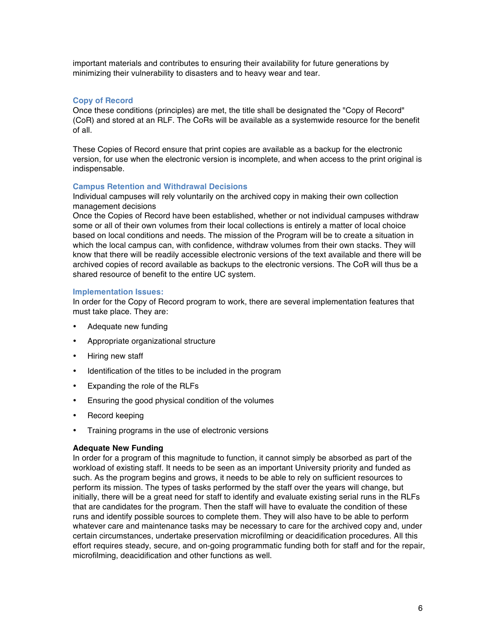important materials and contributes to ensuring their availability for future generations by minimizing their vulnerability to disasters and to heavy wear and tear.

# **Copy of Record**

Once these conditions (principles) are met, the title shall be designated the "Copy of Record" (CoR) and stored at an RLF. The CoRs will be available as a systemwide resource for the benefit of all.

These Copies of Record ensure that print copies are available as a backup for the electronic version, for use when the electronic version is incomplete, and when access to the print original is indispensable.

## **Campus Retention and Withdrawal Decisions**

Individual campuses will rely voluntarily on the archived copy in making their own collection management decisions

Once the Copies of Record have been established, whether or not individual campuses withdraw some or all of their own volumes from their local collections is entirely a matter of local choice based on local conditions and needs. The mission of the Program will be to create a situation in which the local campus can, with confidence, withdraw volumes from their own stacks. They will know that there will be readily accessible electronic versions of the text available and there will be archived copies of record available as backups to the electronic versions. The CoR will thus be a shared resource of benefit to the entire UC system.

#### **Implementation Issues:**

In order for the Copy of Record program to work, there are several implementation features that must take place. They are:

- Adequate new funding
- Appropriate organizational structure
- Hiring new staff
- Identification of the titles to be included in the program
- Expanding the role of the RLFs
- Ensuring the good physical condition of the volumes
- Record keeping
- Training programs in the use of electronic versions

# **Adequate New Funding**

In order for a program of this magnitude to function, it cannot simply be absorbed as part of the workload of existing staff. It needs to be seen as an important University priority and funded as such. As the program begins and grows, it needs to be able to rely on sufficient resources to perform its mission. The types of tasks performed by the staff over the years will change, but initially, there will be a great need for staff to identify and evaluate existing serial runs in the RLFs that are candidates for the program. Then the staff will have to evaluate the condition of these runs and identify possible sources to complete them. They will also have to be able to perform whatever care and maintenance tasks may be necessary to care for the archived copy and, under certain circumstances, undertake preservation microfilming or deacidification procedures. All this effort requires steady, secure, and on-going programmatic funding both for staff and for the repair, microfilming, deacidification and other functions as well.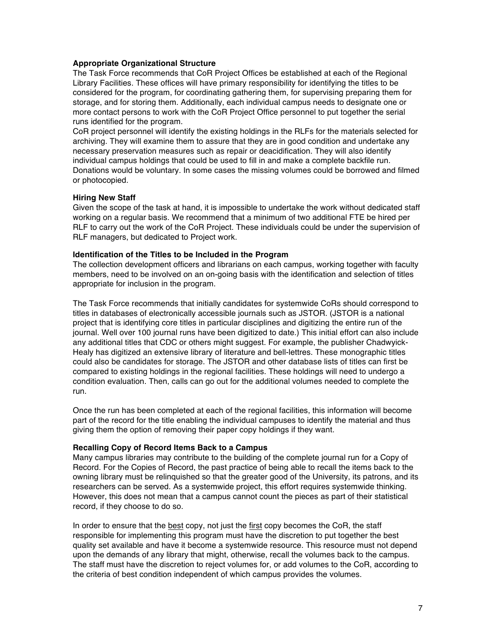#### **Appropriate Organizational Structure**

The Task Force recommends that CoR Project Offices be established at each of the Regional Library Facilities. These offices will have primary responsibility for identifying the titles to be considered for the program, for coordinating gathering them, for supervising preparing them for storage, and for storing them. Additionally, each individual campus needs to designate one or more contact persons to work with the CoR Project Office personnel to put together the serial runs identified for the program.

CoR project personnel will identify the existing holdings in the RLFs for the materials selected for archiving. They will examine them to assure that they are in good condition and undertake any necessary preservation measures such as repair or deacidification. They will also identify individual campus holdings that could be used to fill in and make a complete backfile run. Donations would be voluntary. In some cases the missing volumes could be borrowed and filmed or photocopied.

## **Hiring New Staff**

Given the scope of the task at hand, it is impossible to undertake the work without dedicated staff working on a regular basis. We recommend that a minimum of two additional FTE be hired per RLF to carry out the work of the CoR Project. These individuals could be under the supervision of RLF managers, but dedicated to Project work.

## **Identification of the Titles to be Included in the Program**

The collection development officers and librarians on each campus, working together with faculty members, need to be involved on an on-going basis with the identification and selection of titles appropriate for inclusion in the program.

The Task Force recommends that initially candidates for systemwide CoRs should correspond to titles in databases of electronically accessible journals such as JSTOR. (JSTOR is a national project that is identifying core titles in particular disciplines and digitizing the entire run of the journal. Well over 100 journal runs have been digitized to date.) This initial effort can also include any additional titles that CDC or others might suggest. For example, the publisher Chadwyick-Healy has digitized an extensive library of literature and bell-lettres. These monographic titles could also be candidates for storage. The JSTOR and other database lists of titles can first be compared to existing holdings in the regional facilities. These holdings will need to undergo a condition evaluation. Then, calls can go out for the additional volumes needed to complete the run.

Once the run has been completed at each of the regional facilities, this information will become part of the record for the title enabling the individual campuses to identify the material and thus giving them the option of removing their paper copy holdings if they want.

#### **Recalling Copy of Record Items Back to a Campus**

Many campus libraries may contribute to the building of the complete journal run for a Copy of Record. For the Copies of Record, the past practice of being able to recall the items back to the owning library must be relinquished so that the greater good of the University, its patrons, and its researchers can be served. As a systemwide project, this effort requires systemwide thinking. However, this does not mean that a campus cannot count the pieces as part of their statistical record, if they choose to do so.

In order to ensure that the best copy, not just the first copy becomes the CoR, the staff responsible for implementing this program must have the discretion to put together the best quality set available and have it become a systemwide resource. This resource must not depend upon the demands of any library that might, otherwise, recall the volumes back to the campus. The staff must have the discretion to reject volumes for, or add volumes to the CoR, according to the criteria of best condition independent of which campus provides the volumes.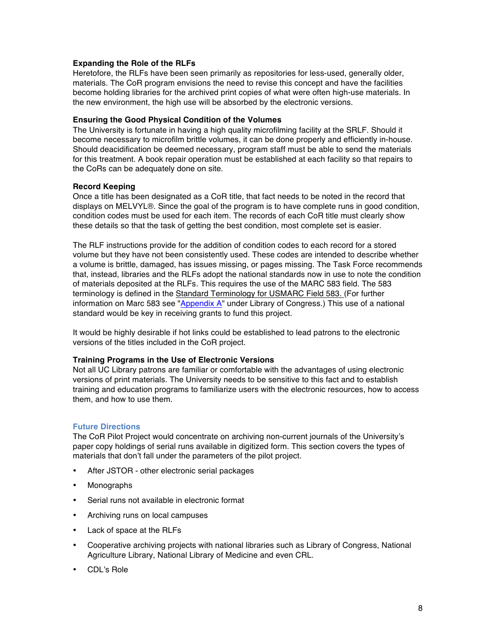## **Expanding the Role of the RLFs**

Heretofore, the RLFs have been seen primarily as repositories for less-used, generally older, materials. The CoR program envisions the need to revise this concept and have the facilities become holding libraries for the archived print copies of what were often high-use materials. In the new environment, the high use will be absorbed by the electronic versions.

#### **Ensuring the Good Physical Condition of the Volumes**

The University is fortunate in having a high quality microfilming facility at the SRLF. Should it become necessary to microfilm brittle volumes, it can be done properly and efficiently in-house. Should deacidification be deemed necessary, program staff must be able to send the materials for this treatment. A book repair operation must be established at each facility so that repairs to the CoRs can be adequately done on site.

#### **Record Keeping**

Once a title has been designated as a CoR title, that fact needs to be noted in the record that displays on MELVYL®. Since the goal of the program is to have complete runs in good condition, condition codes must be used for each item. The records of each CoR title must clearly show these details so that the task of getting the best condition, most complete set is easier.

The RLF instructions provide for the addition of condition codes to each record for a stored volume but they have not been consistently used. These codes are intended to describe whether a volume is brittle, damaged, has issues missing, or pages missing. The Task Force recommends that, instead, libraries and the RLFs adopt the national standards now in use to note the condition of materials deposited at the RLFs. This requires the use of the MARC 583 field. The 583 terminology is defined in the Standard Terminology for USMARC Field 583. (For further information on Marc 583 see "Appendix A" under Library of Congress.) This use of a national standard would be key in receiving grants to fund this project.

It would be highly desirable if hot links could be established to lead patrons to the electronic versions of the titles included in the CoR project.

#### **Training Programs in the Use of Electronic Versions**

Not all UC Library patrons are familiar or comfortable with the advantages of using electronic versions of print materials. The University needs to be sensitive to this fact and to establish training and education programs to familiarize users with the electronic resources, how to access them, and how to use them.

#### **Future Directions**

The CoR Pilot Project would concentrate on archiving non-current journals of the University's paper copy holdings of serial runs available in digitized form. This section covers the types of materials that don't fall under the parameters of the pilot project.

- After JSTOR other electronic serial packages
- Monographs
- Serial runs not available in electronic format
- Archiving runs on local campuses
- Lack of space at the RLFs
- Cooperative archiving projects with national libraries such as Library of Congress, National Agriculture Library, National Library of Medicine and even CRL.
- CDL's Role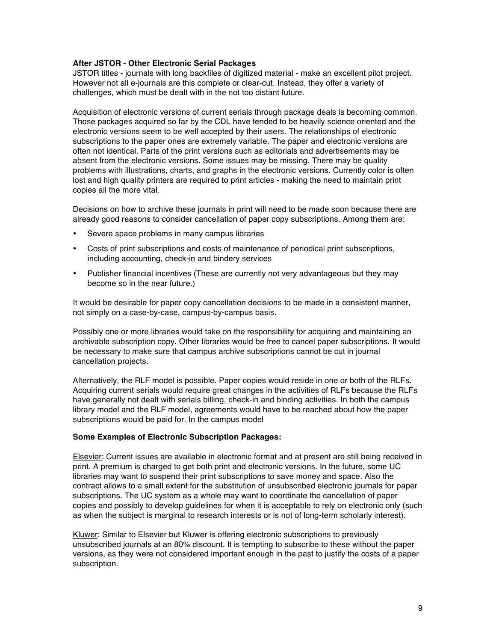## **After JSTOR - Other Electronic Serial Packages**

JSTOR titles - journals with long backfiles of digitized material - make an excellent pilot project. However not all e-journals are this complete or clear-cut. Instead, they offer a variety of challenges, which must be dealt with in the not too distant future.

Acquisition of electronic versions of current serials through package deals is becoming common. Those packages acquired so far by the CDL have tended to be heavily science oriented and the electronic versions seem to be well accepted by their users. The relationships of electronic subscriptions to the paper ones are extremely variable. The paper and electronic versions are often not identical. Parts of the print versions such as editorials and advertisements may be absent from the electronic versions. Some issues may be missing. There may be quality problems with illustrations, charts, and graphs in the electronic versions. Currently color is often lost and high quality printers are required to print articles - making the need to maintain print copies all the more vital.

Decisions on how to archive these journals in print will need to be made soon because there are already good reasons to consider cancellation of paper copy subscriptions. Among them are:

- Severe space problems in many campus libraries
- Costs of print subscriptions and costs of maintenance of periodical print subscriptions, including accounting, check-in and bindery services
- Publisher financial incentives (These are currently not very advantageous but they may become so in the near future.)

It would be desirable for paper copy cancellation decisions to be made in a consistent manner, not simply on a case-by-case, campus-by-campus basis.

Possibly one or more libraries would take on the responsibility for acquiring and maintaining an archivable subscription copy. Other libraries would be free to cancel paper subscriptions. It would be necessary to make sure that campus archive subscriptions cannot be cut in journal cancellation projects.

Alternatively, the RLF model is possible. Paper copies would reside in one or both of the RLFs. Acquiring current serials would require great changes in the activities of RLFs because the RLFs have generally not dealt with serials billing, check-in and binding activities. In both the campus library model and the RLF model, agreements would have to be reached about how the paper subscriptions would be paid for. In the campus model

#### **Some Examples of Electronic Subscription Packages:**

Elsevier: Current issues are available in electronic format and at present are still being received in print. A premium is charged to get both print and electronic versions. In the future, some UC libraries may want to suspend their print subscriptions to save money and space. Also the contract allows to a small extent for the substitution of unsubscribed electronic journals for paper subscriptions. The UC system as a whole may want to coordinate the cancellation of paper copies and possibly to develop guidelines for when it is acceptable to rely on electronic only (such as when the subject is marginal to research interests or is not of long-term scholarly interest).

Kluwer: Similar to Elsevier but Kluwer is offering electronic subscriptions to previously unsubscribed journals at an 80% discount. It is tempting to subscribe to these without the paper versions, as they were not considered important enough in the past to justify the costs of a paper subscription.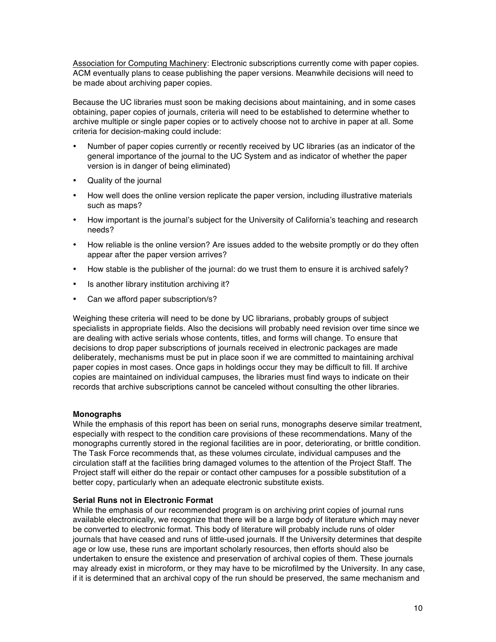Association for Computing Machinery: Electronic subscriptions currently come with paper copies. ACM eventually plans to cease publishing the paper versions. Meanwhile decisions will need to be made about archiving paper copies.

Because the UC libraries must soon be making decisions about maintaining, and in some cases obtaining, paper copies of journals, criteria will need to be established to determine whether to archive multiple or single paper copies or to actively choose not to archive in paper at all. Some criteria for decision-making could include:

- Number of paper copies currently or recently received by UC libraries (as an indicator of the general importance of the journal to the UC System and as indicator of whether the paper version is in danger of being eliminated)
- Quality of the journal
- How well does the online version replicate the paper version, including illustrative materials such as maps?
- How important is the journal's subject for the University of California's teaching and research needs?
- How reliable is the online version? Are issues added to the website promptly or do they often appear after the paper version arrives?
- How stable is the publisher of the journal: do we trust them to ensure it is archived safely?
- Is another library institution archiving it?
- Can we afford paper subscription/s?

Weighing these criteria will need to be done by UC librarians, probably groups of subject specialists in appropriate fields. Also the decisions will probably need revision over time since we are dealing with active serials whose contents, titles, and forms will change. To ensure that decisions to drop paper subscriptions of journals received in electronic packages are made deliberately, mechanisms must be put in place soon if we are committed to maintaining archival paper copies in most cases. Once gaps in holdings occur they may be difficult to fill. If archive copies are maintained on individual campuses, the libraries must find ways to indicate on their records that archive subscriptions cannot be canceled without consulting the other libraries.

#### **Monographs**

While the emphasis of this report has been on serial runs, monographs deserve similar treatment, especially with respect to the condition care provisions of these recommendations. Many of the monographs currently stored in the regional facilities are in poor, deteriorating, or brittle condition. The Task Force recommends that, as these volumes circulate, individual campuses and the circulation staff at the facilities bring damaged volumes to the attention of the Project Staff. The Project staff will either do the repair or contact other campuses for a possible substitution of a better copy, particularly when an adequate electronic substitute exists.

#### **Serial Runs not in Electronic Format**

While the emphasis of our recommended program is on archiving print copies of journal runs available electronically, we recognize that there will be a large body of literature which may never be converted to electronic format. This body of literature will probably include runs of older journals that have ceased and runs of little-used journals. If the University determines that despite age or low use, these runs are important scholarly resources, then efforts should also be undertaken to ensure the existence and preservation of archival copies of them. These journals may already exist in microform, or they may have to be microfilmed by the University. In any case, if it is determined that an archival copy of the run should be preserved, the same mechanism and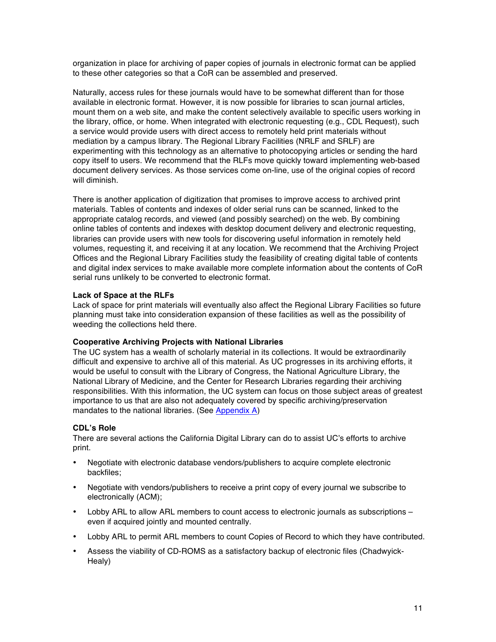organization in place for archiving of paper copies of journals in electronic format can be applied to these other categories so that a CoR can be assembled and preserved.

Naturally, access rules for these journals would have to be somewhat different than for those available in electronic format. However, it is now possible for libraries to scan journal articles, mount them on a web site, and make the content selectively available to specific users working in the library, office, or home. When integrated with electronic requesting (e.g., CDL Request), such a service would provide users with direct access to remotely held print materials without mediation by a campus library. The Regional Library Facilities (NRLF and SRLF) are experimenting with this technology as an alternative to photocopying articles or sending the hard copy itself to users. We recommend that the RLFs move quickly toward implementing web-based document delivery services. As those services come on-line, use of the original copies of record will diminish.

There is another application of digitization that promises to improve access to archived print materials. Tables of contents and indexes of older serial runs can be scanned, linked to the appropriate catalog records, and viewed (and possibly searched) on the web. By combining online tables of contents and indexes with desktop document delivery and electronic requesting, libraries can provide users with new tools for discovering useful information in remotely held volumes, requesting it, and receiving it at any location. We recommend that the Archiving Project Offices and the Regional Library Facilities study the feasibility of creating digital table of contents and digital index services to make available more complete information about the contents of CoR serial runs unlikely to be converted to electronic format.

## **Lack of Space at the RLFs**

Lack of space for print materials will eventually also affect the Regional Library Facilities so future planning must take into consideration expansion of these facilities as well as the possibility of weeding the collections held there.

#### **Cooperative Archiving Projects with National Libraries**

The UC system has a wealth of scholarly material in its collections. It would be extraordinarily difficult and expensive to archive all of this material. As UC progresses in its archiving efforts, it would be useful to consult with the Library of Congress, the National Agriculture Library, the National Library of Medicine, and the Center for Research Libraries regarding their archiving responsibilities. With this information, the UC system can focus on those subject areas of greatest importance to us that are also not adequately covered by specific archiving/preservation mandates to the national libraries. (See Appendix A)

#### **CDL's Role**

There are several actions the California Digital Library can do to assist UC's efforts to archive print.

- Negotiate with electronic database vendors/publishers to acquire complete electronic backfiles;
- Negotiate with vendors/publishers to receive a print copy of every journal we subscribe to electronically (ACM);
- Lobby ARL to allow ARL members to count access to electronic journals as subscriptions even if acquired jointly and mounted centrally.
- Lobby ARL to permit ARL members to count Copies of Record to which they have contributed.
- Assess the viability of CD-ROMS as a satisfactory backup of electronic files (Chadwyick-Healy)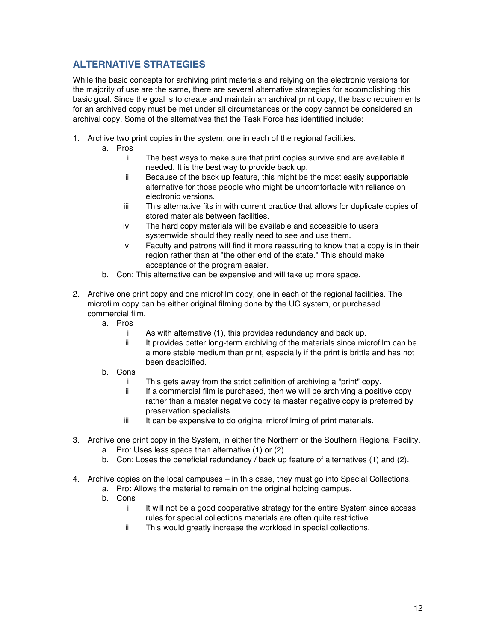# **ALTERNATIVE STRATEGIES**

While the basic concepts for archiving print materials and relying on the electronic versions for the majority of use are the same, there are several alternative strategies for accomplishing this basic goal. Since the goal is to create and maintain an archival print copy, the basic requirements for an archived copy must be met under all circumstances or the copy cannot be considered an archival copy. Some of the alternatives that the Task Force has identified include:

- 1. Archive two print copies in the system, one in each of the regional facilities.
	- a. Pros
		- i. The best ways to make sure that print copies survive and are available if needed. It is the best way to provide back up.
		- ii. Because of the back up feature, this might be the most easily supportable alternative for those people who might be uncomfortable with reliance on electronic versions.
		- iii. This alternative fits in with current practice that allows for duplicate copies of stored materials between facilities.
		- iv. The hard copy materials will be available and accessible to users systemwide should they really need to see and use them.
		- v. Faculty and patrons will find it more reassuring to know that a copy is in their region rather than at "the other end of the state." This should make acceptance of the program easier.
	- b. Con: This alternative can be expensive and will take up more space.
- 2. Archive one print copy and one microfilm copy, one in each of the regional facilities. The microfilm copy can be either original filming done by the UC system, or purchased commercial film.
	- a. Pros
		- i. As with alternative (1), this provides redundancy and back up.
		- ii. It provides better long-term archiving of the materials since microfilm can be a more stable medium than print, especially if the print is brittle and has not been deacidified.
	- b. Cons
		- i. This gets away from the strict definition of archiving a "print" copy.
		- ii. If a commercial film is purchased, then we will be archiving a positive copy rather than a master negative copy (a master negative copy is preferred by preservation specialists
		- iii. It can be expensive to do original microfilming of print materials.
- 3. Archive one print copy in the System, in either the Northern or the Southern Regional Facility.
	- a. Pro: Uses less space than alternative (1) or (2).
	- b. Con: Loses the beneficial redundancy / back up feature of alternatives (1) and (2).
- 4. Archive copies on the local campuses in this case, they must go into Special Collections.
	- a. Pro: Allows the material to remain on the original holding campus.
	- b. Cons
		- i. It will not be a good cooperative strategy for the entire System since access rules for special collections materials are often quite restrictive.
		- ii. This would greatly increase the workload in special collections.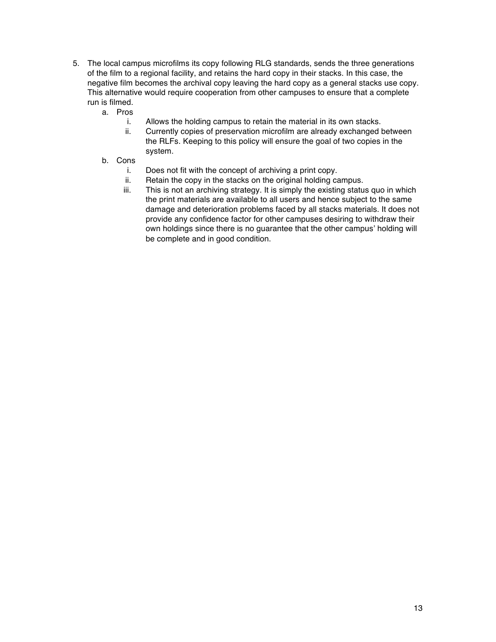- 5. The local campus microfilms its copy following RLG standards, sends the three generations of the film to a regional facility, and retains the hard copy in their stacks. In this case, the negative film becomes the archival copy leaving the hard copy as a general stacks use copy. This alternative would require cooperation from other campuses to ensure that a complete run is filmed.
	- a. Pros
		- i. Allows the holding campus to retain the material in its own stacks.
		- ii. Currently copies of preservation microfilm are already exchanged between the RLFs. Keeping to this policy will ensure the goal of two copies in the system.
	- b. Cons
		- i. Does not fit with the concept of archiving a print copy.
		- ii. Retain the copy in the stacks on the original holding campus.
		- iii. This is not an archiving strategy. It is simply the existing status quo in which the print materials are available to all users and hence subject to the same damage and deterioration problems faced by all stacks materials. It does not provide any confidence factor for other campuses desiring to withdraw their own holdings since there is no guarantee that the other campus' holding will be complete and in good condition.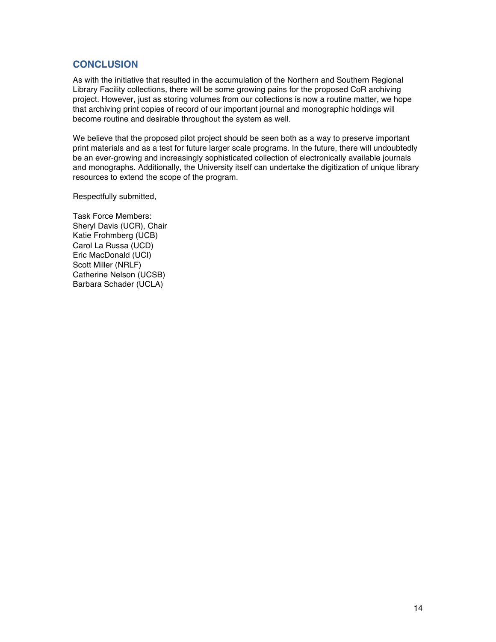# **CONCLUSION**

As with the initiative that resulted in the accumulation of the Northern and Southern Regional Library Facility collections, there will be some growing pains for the proposed CoR archiving project. However, just as storing volumes from our collections is now a routine matter, we hope that archiving print copies of record of our important journal and monographic holdings will become routine and desirable throughout the system as well.

We believe that the proposed pilot project should be seen both as a way to preserve important print materials and as a test for future larger scale programs. In the future, there will undoubtedly be an ever-growing and increasingly sophisticated collection of electronically available journals and monographs. Additionally, the University itself can undertake the digitization of unique library resources to extend the scope of the program.

Respectfully submitted,

Task Force Members: Sheryl Davis (UCR), Chair Katie Frohmberg (UCB) Carol La Russa (UCD) Eric MacDonald (UCI) Scott Miller (NRLF) Catherine Nelson (UCSB) Barbara Schader (UCLA)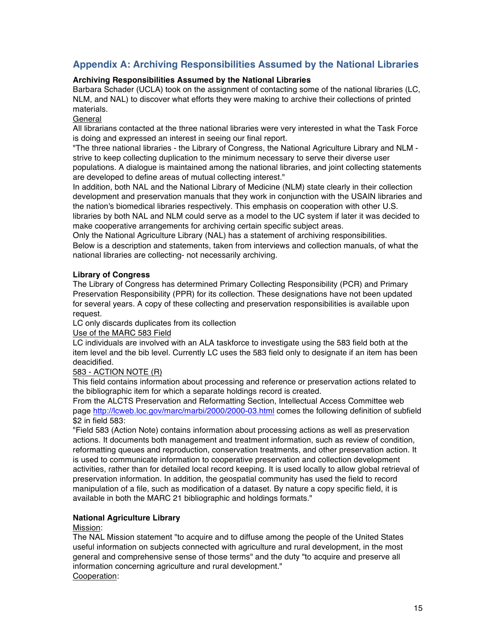# **Appendix A: Archiving Responsibilities Assumed by the National Libraries**

# **Archiving Responsibilities Assumed by the National Libraries**

Barbara Schader (UCLA) took on the assignment of contacting some of the national libraries (LC, NLM, and NAL) to discover what efforts they were making to archive their collections of printed materials.

# General

All librarians contacted at the three national libraries were very interested in what the Task Force is doing and expressed an interest in seeing our final report.

"The three national libraries - the Library of Congress, the National Agriculture Library and NLM strive to keep collecting duplication to the minimum necessary to serve their diverse user populations. A dialogue is maintained among the national libraries, and joint collecting statements are developed to define areas of mutual collecting interest."

In addition, both NAL and the National Library of Medicine (NLM) state clearly in their collection development and preservation manuals that they work in conjunction with the USAIN libraries and the nation's biomedical libraries respectively. This emphasis on cooperation with other U.S. libraries by both NAL and NLM could serve as a model to the UC system if later it was decided to make cooperative arrangements for archiving certain specific subject areas.

Only the National Agriculture Library (NAL) has a statement of archiving responsibilities.

Below is a description and statements, taken from interviews and collection manuals, of what the national libraries are collecting- not necessarily archiving.

# **Library of Congress**

The Library of Congress has determined Primary Collecting Responsibility (PCR) and Primary Preservation Responsibility (PPR) for its collection. These designations have not been updated for several years. A copy of these collecting and preservation responsibilities is available upon request.

LC only discards duplicates from its collection

Use of the MARC 583 Field

LC individuals are involved with an ALA taskforce to investigate using the 583 field both at the item level and the bib level. Currently LC uses the 583 field only to designate if an item has been deacidified.

# 583 - ACTION NOTE (R)

This field contains information about processing and reference or preservation actions related to the bibliographic item for which a separate holdings record is created.

From the ALCTS Preservation and Reformatting Section, Intellectual Access Committee web page http://lcweb.loc.gov/marc/marbi/2000/2000-03.html comes the following definition of subfield \$2 in field 583:

"Field 583 (Action Note) contains information about processing actions as well as preservation actions. It documents both management and treatment information, such as review of condition, reformatting queues and reproduction, conservation treatments, and other preservation action. It is used to communicate information to cooperative preservation and collection development activities, rather than for detailed local record keeping. It is used locally to allow global retrieval of preservation information. In addition, the geospatial community has used the field to record manipulation of a file, such as modification of a dataset. By nature a copy specific field, it is available in both the MARC 21 bibliographic and holdings formats."

# **National Agriculture Library**

## Mission:

The NAL Mission statement "to acquire and to diffuse among the people of the United States useful information on subjects connected with agriculture and rural development, in the most general and comprehensive sense of those terms" and the duty "to acquire and preserve all information concerning agriculture and rural development." Cooperation: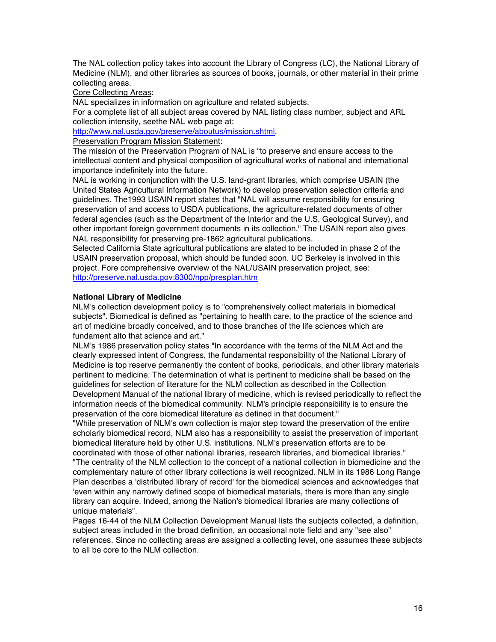The NAL collection policy takes into account the Library of Congress (LC), the National Library of Medicine (NLM), and other libraries as sources of books, journals, or other material in their prime collecting areas.

Core Collecting Areas:

NAL specializes in information on agriculture and related subjects.

For a complete list of all subject areas covered by NAL listing class number, subject and ARL collection intensity, seethe NAL web page at:

http://www.nal.usda.gov/preserve/aboutus/mission.shtml.

Preservation Program Mission Statement:

The mission of the Preservation Program of NAL is "to preserve and ensure access to the intellectual content and physical composition of agricultural works of national and international importance indefinitely into the future.

NAL is working in conjunction with the U.S. land-grant libraries, which comprise USAIN (the United States Agricultural Information Network) to develop preservation selection criteria and guidelines. The1993 USAIN report states that "NAL will assume responsibility for ensuring preservation of and access to USDA publications, the agriculture-related documents of other federal agencies (such as the Department of the Interior and the U.S. Geological Survey), and other important foreign government documents in its collection." The USAIN report also gives NAL responsibility for preserving pre-1862 agricultural publications.

Selected California State agricultural publications are slated to be included in phase 2 of the USAIN preservation proposal, which should be funded soon. UC Berkeley is involved in this project. Fore comprehensive overview of the NAL/USAIN preservation project, see: http://preserve.nal.usda.gov:8300/npp/presplan.htm

#### **National Library of Medicine**

NLM's collection development policy is to "comprehensively collect materials in biomedical subjects". Biomedical is defined as "pertaining to health care, to the practice of the science and art of medicine broadly conceived, and to those branches of the life sciences which are fundament alto that science and art."

NLM's 1986 preservation policy states "In accordance with the terms of the NLM Act and the clearly expressed intent of Congress, the fundamental responsibility of the National Library of Medicine is top reserve permanently the content of books, periodicals, and other library materials pertinent to medicine. The determination of what is pertinent to medicine shall be based on the guidelines for selection of literature for the NLM collection as described in the Collection Development Manual of the national library of medicine, which is revised periodically to reflect the information needs of the biomedical community. NLM's principle responsibility is to ensure the preservation of the core biomedical literature as defined in that document."

"While preservation of NLM's own collection is major step toward the preservation of the entire scholarly biomedical record, NLM also has a responsibility to assist the preservation of important biomedical literature held by other U.S. institutions. NLM's preservation efforts are to be coordinated with those of other national libraries, research libraries, and biomedical libraries." "The centrality of the NLM collection to the concept of a national collection in biomedicine and the complementary nature of other library collections is well recognized. NLM in its 1986 Long Range Plan describes a 'distributed library of record' for the biomedical sciences and acknowledges that 'even within any narrowly defined scope of biomedical materials, there is more than any single library can acquire. Indeed, among the Nation's biomedical libraries are many collections of unique materials".

Pages 16-44 of the NLM Collection Development Manual lists the subjects collected, a definition, subject areas included in the broad definition, an occasional note field and any "see also" references. Since no collecting areas are assigned a collecting level, one assumes these subjects to all be core to the NLM collection.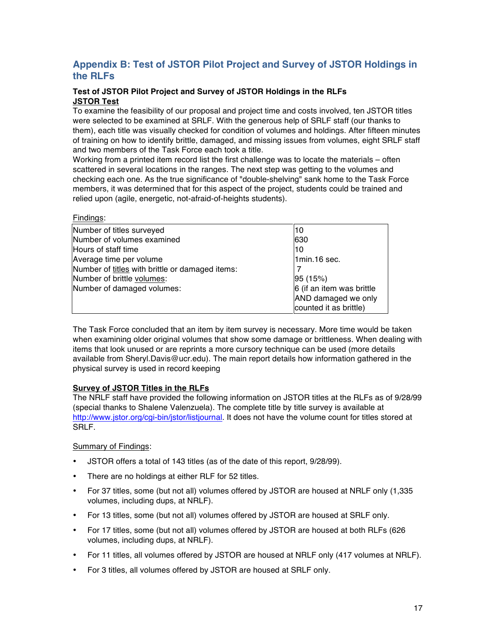# **Appendix B: Test of JSTOR Pilot Project and Survey of JSTOR Holdings in the RLFs**

# **Test of JSTOR Pilot Project and Survey of JSTOR Holdings in the RLFs JSTOR Test**

To examine the feasibility of our proposal and project time and costs involved, ten JSTOR titles were selected to be examined at SRLF. With the generous help of SRLF staff (our thanks to them), each title was visually checked for condition of volumes and holdings. After fifteen minutes of training on how to identify brittle, damaged, and missing issues from volumes, eight SRLF staff and two members of the Task Force each took a title.

Working from a printed item record list the first challenge was to locate the materials – often scattered in several locations in the ranges. The next step was getting to the volumes and checking each one. As the true significance of "double-shelving" sank home to the Task Force members, it was determined that for this aspect of the project, students could be trained and relied upon (agile, energetic, not-afraid-of-heights students).

| ı ıllulluə.                                     |                           |
|-------------------------------------------------|---------------------------|
| Number of titles surveyed                       | 10                        |
| Number of volumes examined                      | 630                       |
| Hours of staff time                             | 10                        |
| Average time per volume                         | 1min.16 sec.              |
| Number of titles with brittle or damaged items: |                           |
| Number of brittle volumes:                      | 95(15%)                   |
| Number of damaged volumes:                      | 6 (if an item was brittle |
|                                                 | AND damaged we only       |
|                                                 | counted it as brittle)    |

The Task Force concluded that an item by item survey is necessary. More time would be taken when examining older original volumes that show some damage or brittleness. When dealing with items that look unused or are reprints a more cursory technique can be used (more details available from Sheryl.Davis@ucr.edu). The main report details how information gathered in the physical survey is used in record keeping

# **Survey of JSTOR Titles in the RLFs**

The NRLF staff have provided the following information on JSTOR titles at the RLFs as of 9/28/99 (special thanks to Shalene Valenzuela). The complete title by title survey is available at http://www.jstor.org/cgi-bin/jstor/listjournal. It does not have the volume count for titles stored at SRLF.

# Summary of Findings:

Findings:

- JSTOR offers a total of 143 titles (as of the date of this report, 9/28/99).
- There are no holdings at either RLF for 52 titles.
- For 37 titles, some (but not all) volumes offered by JSTOR are housed at NRLF only (1,335 volumes, including dups, at NRLF).
- For 13 titles, some (but not all) volumes offered by JSTOR are housed at SRLF only.
- For 17 titles, some (but not all) volumes offered by JSTOR are housed at both RLFs (626 volumes, including dups, at NRLF).
- For 11 titles, all volumes offered by JSTOR are housed at NRLF only (417 volumes at NRLF).
- For 3 titles, all volumes offered by JSTOR are housed at SRLF only.